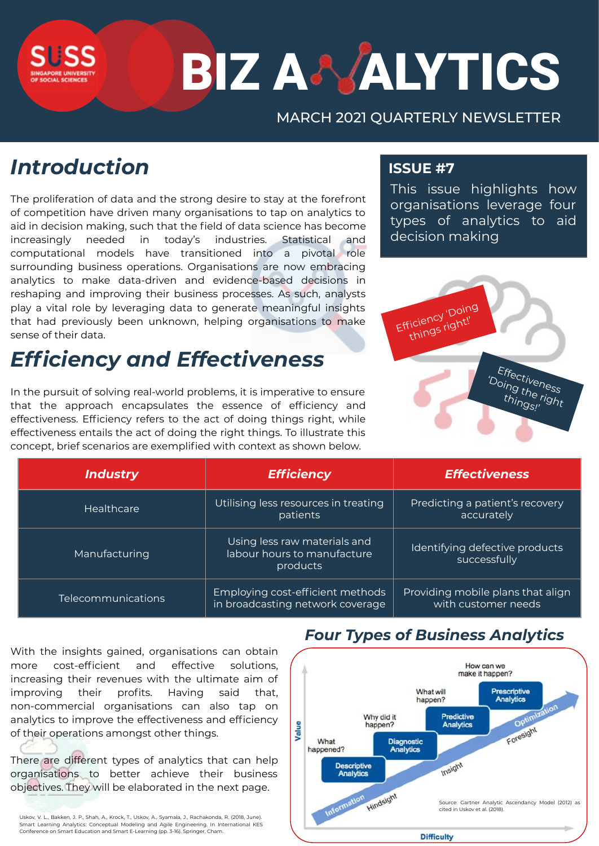# **BIZ A& ALYTICS**

## MARCH 2021 QUARTERLY NEWSLETTER

# *Introduction*

The proliferation of data and the strong desire to stay at the forefront of competition have driven many organisations to tap on analytics to aid in decision making, such that the field of data science has become increasingly needed in today's industries. Statistical and computational models have transitioned into a pivotal role surrounding business operations. Organisations are now embracing analytics to make data-driven and evidence-based decisions in reshaping and improving their business processes. As such, analysts play a vital role by leveraging data to generate meaningful insights that had previously been unknown, helping organisations to make sense of their data.

# *Efficiency and Effectiveness*

In the pursuit of solving real-world problems, it is imperative to ensure that the approach encapsulates the essence of efficiency and effectiveness. Efficiency refers to the act of doing things right, while effectiveness entails the act of doing the right things. To illustrate this concept, brief scenarios are exemplified with context as shown below.

## **ISSUE #7**

This issue highlights how organisations leverage four types of analytics to aid decision making



| Industry           | <b>Efficiency</b>                                                       | <b>Effectiveness</b>                                     |
|--------------------|-------------------------------------------------------------------------|----------------------------------------------------------|
| <b>Healthcare</b>  | Utilising less resources in treating<br>patients                        | Predicting a patient's recovery<br>accurately            |
| Manufacturing      | Using less raw materials and<br>labour hours to manufacture<br>products | Identifying defective products<br>successfully           |
| Telecommunications | Employing cost-efficient methods<br>in broadcasting network coverage    | Providing mobile plans that align<br>with customer needs |

With the insights gained, organisations can obtain more cost-efficient and effective solutions, increasing their revenues with the ultimate aim of improving their profits. Having said that, non-commercial organisations can also tap on analytics to improve the effectiveness and efficiency of their operations amongst other things.

There are different types of analytics that can help organisations to better achieve their business objectives. They will be elaborated in the next page.

Uskov, V. L., Bakken, J. P., Shah, A., Krock, T., Uskov, A., Syamala, J., Rachakonda, R. (2018, June). Smart Learning Analytics: Conceptual Modeling and Agile Engineering. In International KES Conference on Smart Education and Smart E-Learning (pp. 3-16). Springer, Cham.

## *Four Types of Business Analytics*

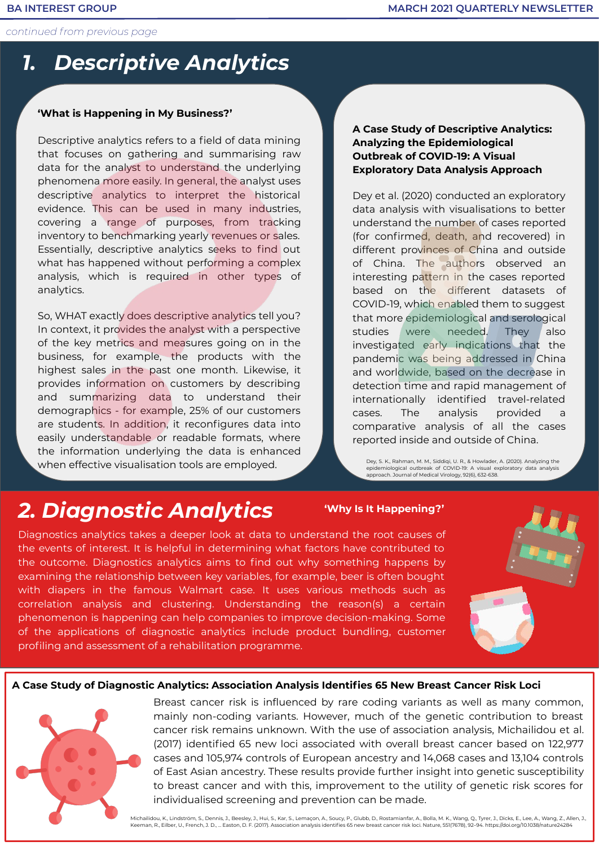*continued from previous page*

## *1. Descriptive Analytics*

#### **'What is Happening in My Business?'**

Descriptive analytics refers to a field of data mining that focuses on gathering and summarising raw data for the analyst to understand the underlying phenomena more easily. In general, the analyst uses descriptive analytics to interpret the historical evidence. This can be used in many industries, covering a range of purposes, from tracking inventory to benchmarking yearly revenues or sales. Essentially, descriptive analytics seeks to find out what has happened without performing a complex analysis, which is required in other types of analytics.

So, WHAT exactly does descriptive analytics tell you? In context, it provides the analyst with a perspective of the key metrics and measures going on in the business, for example, the products with the highest sales in the past one month. Likewise, it provides information on customers by describing and summarizing data to understand their demographics - for example, 25% of our customers are students. In addition, it reconfigures data into easily understandable or readable formats, where the information underlying the data is enhanced when effective visualisation tools are employed.

#### **A Case Study of Descriptive Analytics: Analyzing the Epidemiological Outbreak of COVID‐19: A Visual Exploratory Data Analysis Approach**

Dey et al. (2020) conducted an exploratory data analysis with visualisations to better understand the number of cases reported (for confirmed, death, and recovered) in different provinces of China and outside of China. The authors observed an interesting pattern in the cases reported based on the different datasets of COVID-19, which enabled them to suggest that more epidemiological and serological studies were needed. They also investigated early indications that the pandemic was being addressed in China and worldwide, based on the decrease in detection time and rapid management of internationally identified travel‐related cases. The analysis provided a comparative analysis of all the cases reported inside and outside of China.

Dey, S. K., Rahman, M. M., Siddiqi, U. R., & Howlader, A. (2020). Analyzing the epidemiological outbreak of COVID‐19: A visual exploratory data analysis approach. Journal of Medical Virology, 92(6), 632-638.

## *2. Diagnostic Analytics*

#### **'Why Is It Happening?'**

Diagnostics analytics takes a deeper look at data to understand the root causes of the events of interest. It is helpful in determining what factors have contributed to the outcome. Diagnostics analytics aims to find out why something happens by examining the relationship between key variables, for example, beer is often bought with diapers in the famous Walmart case. It uses various methods such as correlation analysis and clustering. Understanding the reason(s) a certain phenomenon is happening can help companies to improve decision-making. Some of the applications of diagnostic analytics include product bundling, customer profiling and assessment of a rehabilitation programme.



#### **A Case Study of Diagnostic Analytics: Association Analysis Identifies 65 New Breast Cancer Risk Loci**



Breast cancer risk is influenced by rare coding variants as well as many common, mainly non-coding variants. However, much of the genetic contribution to breast cancer risk remains unknown. With the use of association analysis, Michailidou et al. (2017) identified 65 new loci associated with overall breast cancer based on 122,977 cases and 105,974 controls of European ancestry and 14,068 cases and 13,104 controls of East Asian ancestry. These results provide further insight into genetic susceptibility to breast cancer and with this, improvement to the utility of genetic risk scores for individualised screening and prevention can be made.

Michailidou, K., Lindström, S., Dennis, J., Beesley, J., Hui, S., Kar, S., Lemaçon, A., Soucy, P., Glubb, D., Rostamianfar, A., Bolla, M. K., Wang, Q., Tyrer, J., Dicks, E., Lee, A., Wang, Z., Allen, J., Keeman, R., Eilber, U., French, J. D., … Easton, D. F. (2017). Association analysis identifies 65 new breast cancer risk loci. Nature, 551(7678), 92–94. https://doi.org/10.1038/nature24284